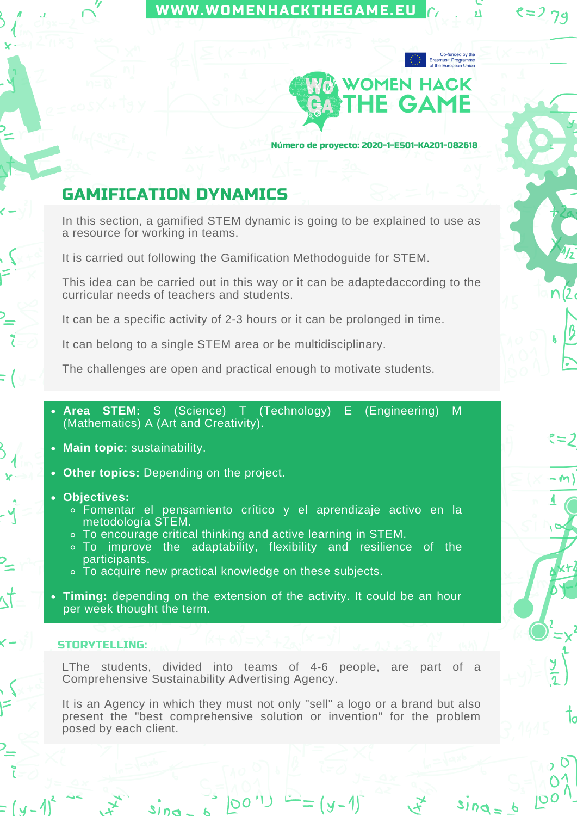## [WWW.WOMENHACKTHEGAME.EU](https://womenhackthegame.eu/)



74

 $=2$ 

Número de proyecto: 2020-1-ES01-KA201-082618

# GAMIFICATION DYNAMICS

In this section, a gamified STEM dynamic is going to be explained to use as a resource for working in teams.

It is carried out following the Gamification Methodoguide for STEM.

This idea can be carried out in this way or it can be adaptedaccording to the curricular needs of teachers and students.

It can be a specific activity of 2-3 hours or it can be prolonged in time.

It can belong to a single STEM area or be multidisciplinary.

The challenges are open and practical enough to motivate students.

- **Area STEM:** S (Science) T (Technology) E (Engineering) M (Mathematics) A (Art and Creativity).
- **Main topic**: sustainability.
- **Other topics:** Depending on the project.

#### **Objectives:**

- Fomentar el pensamiento crítico y el aprendizaje activo en la metodología STEM.
- To encourage critical thinking and active learning in STEM.
- To improve the adaptability, flexibility and resilience of the participants.
- To acquire new practical knowledge on these subjects.
- **Timing:** depending on the extension of the activity. It could be an hour per week thought the term.

### STORYTELLING:

LThe students, divided into teams of 4-6 people, are part of a Comprehensive Sustainability Advertising Agency.

It is an Agency in which they must not only "sell" a logo or a brand but also present the "best comprehensive solution or invention" for the problem posed by each client.